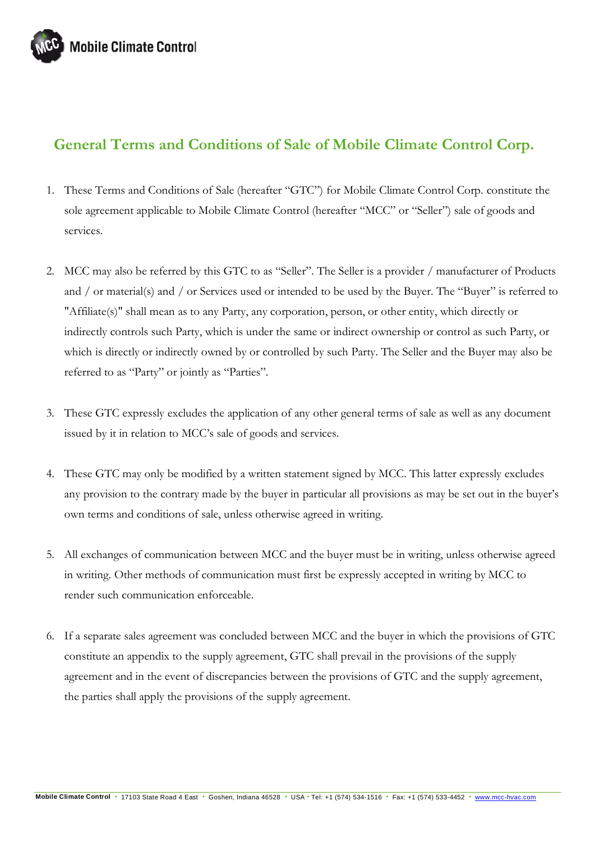

## **General Terms and Conditions of Sale of Mobile Climate Control Corp.**

- 1. These Terms and Conditions of Sale (hereafter "GTC") for Mobile Climate Control Corp. constitute the sole agreement applicable to Mobile Climate Control (hereafter "MCC" or "Seller") sale of goods and services.
- 2. MCC may also be referred by this GTC to as "Seller". The Seller is a provider / manufacturer of Products and / or material(s) and / or Services used or intended to be used by the Buyer. The "Buyer" is referred to "Affiliate(s)" shall mean as to any Party, any corporation, person, or other entity, which directly or indirectly controls such Party, which is under the same or indirect ownership or control as such Party, or which is directly or indirectly owned by or controlled by such Party. The Seller and the Buyer may also be referred to as "Party" or jointly as "Parties".
- 3. These GTC expressly excludes the application of any other general terms of sale as well as any document issued by it in relation to MCC's sale of goods and services.
- 4. These GTC may only be modified by a written statement signed by MCC. This latter expressly excludes any provision to the contrary made by the buyer in particular all provisions as may be set out in the buyer's own terms and conditions of sale, unless otherwise agreed in writing.
- 5. All exchanges of communication between MCC and the buyer must be in writing, unless otherwise agreed in writing. Other methods of communication must first be expressly accepted in writing by MCC to render such communication enforceable.
- 6. If a separate sales agreement was concluded between MCC and the buyer in which the provisions of GTC constitute an appendix to the supply agreement, GTC shall prevail in the provisions of the supply agreement and in the event of discrepancies between the provisions of GTC and the supply agreement, the parties shall apply the provisions of the supply agreement.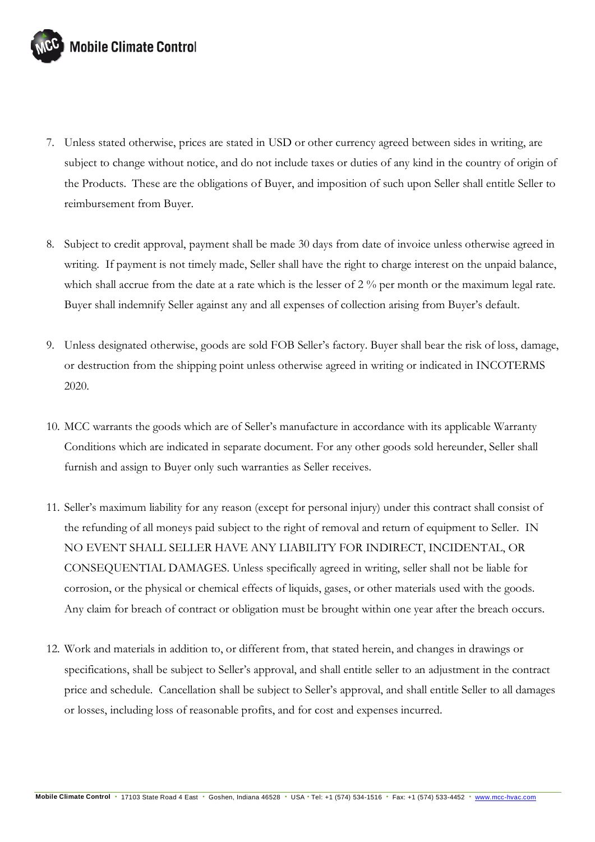

- 7. Unless stated otherwise, prices are stated in USD or other currency agreed between sides in writing, are subject to change without notice, and do not include taxes or duties of any kind in the country of origin of the Products. These are the obligations of Buyer, and imposition of such upon Seller shall entitle Seller to reimbursement from Buyer.
- 8. Subject to credit approval, payment shall be made 30 days from date of invoice unless otherwise agreed in writing. If payment is not timely made, Seller shall have the right to charge interest on the unpaid balance, which shall accrue from the date at a rate which is the lesser of 2 % per month or the maximum legal rate. Buyer shall indemnify Seller against any and all expenses of collection arising from Buyer's default.
- 9. Unless designated otherwise, goods are sold FOB Seller's factory. Buyer shall bear the risk of loss, damage, or destruction from the shipping point unless otherwise agreed in writing or indicated in INCOTERMS 2020.
- 10. MCC warrants the goods which are of Seller's manufacture in accordance with its applicable Warranty Conditions which are indicated in separate document. For any other goods sold hereunder, Seller shall furnish and assign to Buyer only such warranties as Seller receives.
- 11. Seller's maximum liability for any reason (except for personal injury) under this contract shall consist of the refunding of all moneys paid subject to the right of removal and return of equipment to Seller. IN NO EVENT SHALL SELLER HAVE ANY LIABILITY FOR INDIRECT, INCIDENTAL, OR CONSEQUENTIAL DAMAGES. Unless specifically agreed in writing, seller shall not be liable for corrosion, or the physical or chemical effects of liquids, gases, or other materials used with the goods. Any claim for breach of contract or obligation must be brought within one year after the breach occurs.
- 12. Work and materials in addition to, or different from, that stated herein, and changes in drawings or specifications, shall be subject to Seller's approval, and shall entitle seller to an adjustment in the contract price and schedule. Cancellation shall be subject to Seller's approval, and shall entitle Seller to all damages or losses, including loss of reasonable profits, and for cost and expenses incurred.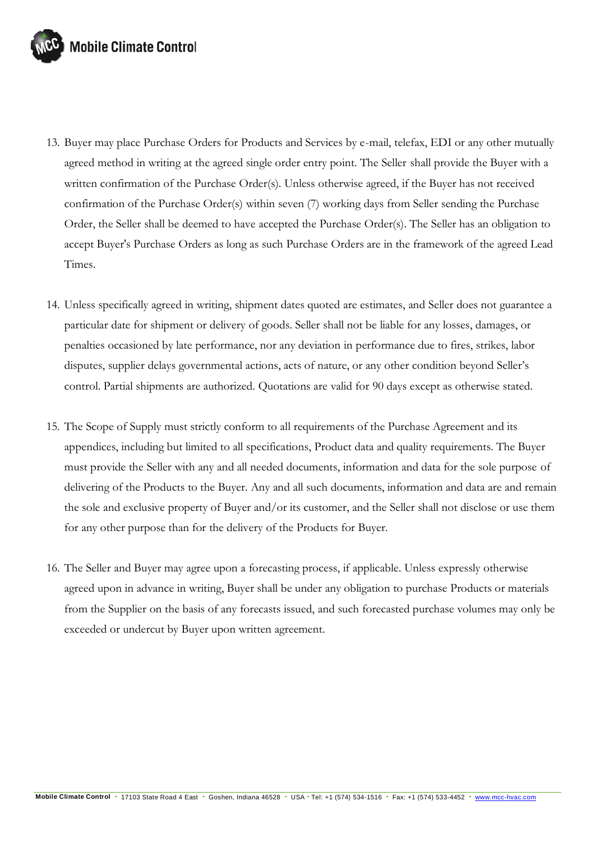

- 13. Buyer may place Purchase Orders for Products and Services by e-mail, telefax, EDI or any other mutually agreed method in writing at the agreed single order entry point. The Seller shall provide the Buyer with a written confirmation of the Purchase Order(s). Unless otherwise agreed, if the Buyer has not received confirmation of the Purchase Order(s) within seven (7) working days from Seller sending the Purchase Order, the Seller shall be deemed to have accepted the Purchase Order(s). The Seller has an obligation to accept Buyer's Purchase Orders as long as such Purchase Orders are in the framework of the agreed Lead Times.
- 14. Unless specifically agreed in writing, shipment dates quoted are estimates, and Seller does not guarantee a particular date for shipment or delivery of goods. Seller shall not be liable for any losses, damages, or penalties occasioned by late performance, nor any deviation in performance due to fires, strikes, labor disputes, supplier delays governmental actions, acts of nature, or any other condition beyond Seller's control. Partial shipments are authorized. Quotations are valid for 90 days except as otherwise stated.
- 15. The Scope of Supply must strictly conform to all requirements of the Purchase Agreement and its appendices, including but limited to all specifications, Product data and quality requirements. The Buyer must provide the Seller with any and all needed documents, information and data for the sole purpose of delivering of the Products to the Buyer. Any and all such documents, information and data are and remain the sole and exclusive property of Buyer and/or its customer, and the Seller shall not disclose or use them for any other purpose than for the delivery of the Products for Buyer.
- 16. The Seller and Buyer may agree upon a forecasting process, if applicable. Unless expressly otherwise agreed upon in advance in writing, Buyer shall be under any obligation to purchase Products or materials from the Supplier on the basis of any forecasts issued, and such forecasted purchase volumes may only be exceeded or undercut by Buyer upon written agreement.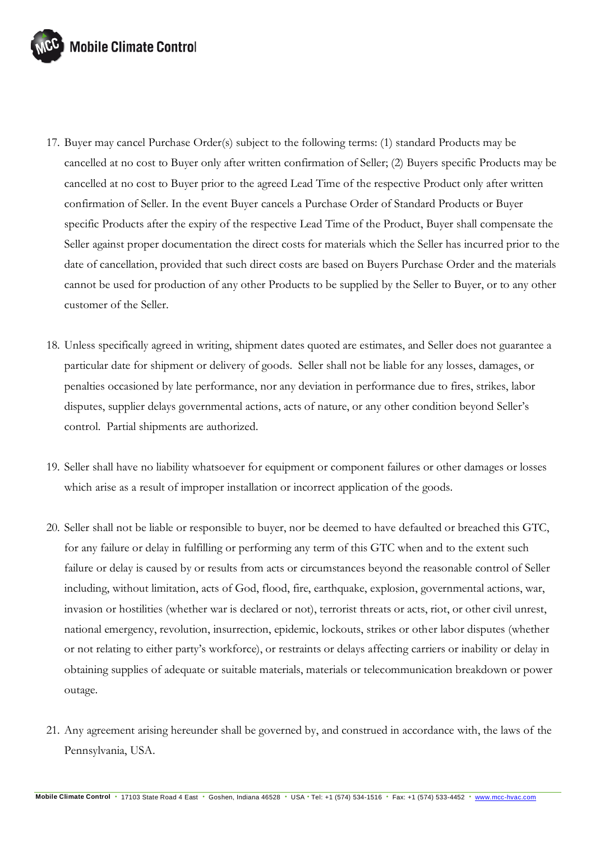

- 17. Buyer may cancel Purchase Order(s) subject to the following terms: (1) standard Products may be cancelled at no cost to Buyer only after written confirmation of Seller; (2) Buyers specific Products may be cancelled at no cost to Buyer prior to the agreed Lead Time of the respective Product only after written confirmation of Seller. In the event Buyer cancels a Purchase Order of Standard Products or Buyer specific Products after the expiry of the respective Lead Time of the Product, Buyer shall compensate the Seller against proper documentation the direct costs for materials which the Seller has incurred prior to the date of cancellation, provided that such direct costs are based on Buyers Purchase Order and the materials cannot be used for production of any other Products to be supplied by the Seller to Buyer, or to any other customer of the Seller.
- 18. Unless specifically agreed in writing, shipment dates quoted are estimates, and Seller does not guarantee a particular date for shipment or delivery of goods. Seller shall not be liable for any losses, damages, or penalties occasioned by late performance, nor any deviation in performance due to fires, strikes, labor disputes, supplier delays governmental actions, acts of nature, or any other condition beyond Seller's control. Partial shipments are authorized.
- 19. Seller shall have no liability whatsoever for equipment or component failures or other damages or losses which arise as a result of improper installation or incorrect application of the goods.
- 20. Seller shall not be liable or responsible to buyer, nor be deemed to have defaulted or breached this GTC, for any failure or delay in fulfilling or performing any term of this GTC when and to the extent such failure or delay is caused by or results from acts or circumstances beyond the reasonable control of Seller including, without limitation, acts of God, flood, fire, earthquake, explosion, governmental actions, war, invasion or hostilities (whether war is declared or not), terrorist threats or acts, riot, or other civil unrest, national emergency, revolution, insurrection, epidemic, lockouts, strikes or other labor disputes (whether or not relating to either party's workforce), or restraints or delays affecting carriers or inability or delay in obtaining supplies of adequate or suitable materials, materials or telecommunication breakdown or power outage.
- 21. Any agreement arising hereunder shall be governed by, and construed in accordance with, the laws of the Pennsylvania, USA.